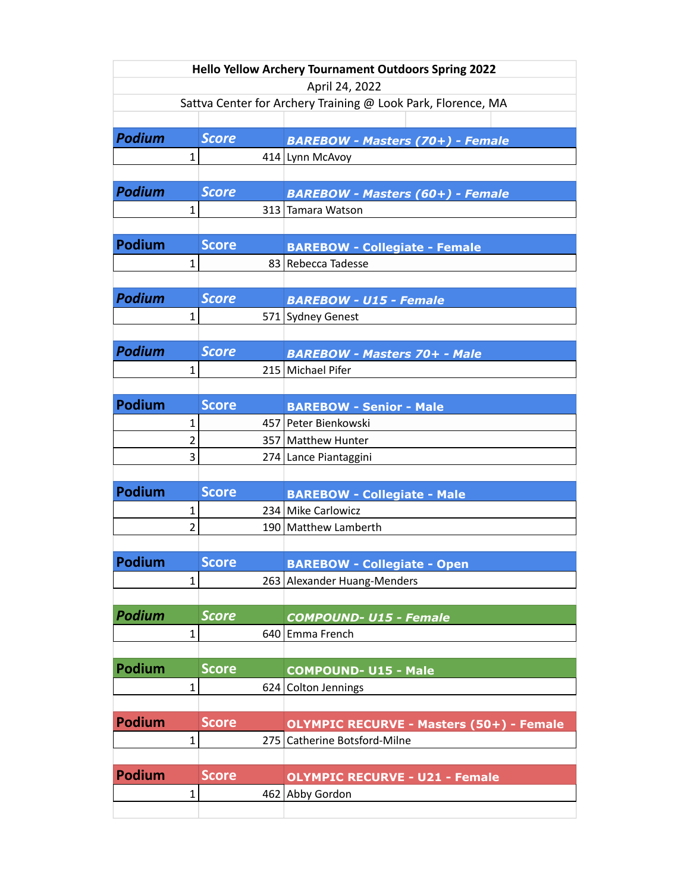| <b>Hello Yellow Archery Tournament Outdoors Spring 2022</b>  |                         |              |                                                 |  |  |  |  |  |
|--------------------------------------------------------------|-------------------------|--------------|-------------------------------------------------|--|--|--|--|--|
| April 24, 2022                                               |                         |              |                                                 |  |  |  |  |  |
| Sattva Center for Archery Training @ Look Park, Florence, MA |                         |              |                                                 |  |  |  |  |  |
| <b>Podium</b>                                                |                         | <b>Score</b> |                                                 |  |  |  |  |  |
|                                                              |                         |              | <b>BAREBOW - Masters (70+) - Female</b>         |  |  |  |  |  |
|                                                              | 1                       |              | 414 Lynn McAvoy                                 |  |  |  |  |  |
| <b>Podium</b>                                                |                         | <b>Score</b> | <b>BAREBOW - Masters (60+) - Female</b>         |  |  |  |  |  |
|                                                              | $\mathbf{1}$            | 313          | Tamara Watson                                   |  |  |  |  |  |
|                                                              |                         |              |                                                 |  |  |  |  |  |
| <b>Podium</b>                                                |                         | <b>Score</b> | <b>BAREBOW - Collegiate - Female</b>            |  |  |  |  |  |
|                                                              | $\mathbf 1$             |              | 83 Rebecca Tadesse                              |  |  |  |  |  |
|                                                              |                         |              |                                                 |  |  |  |  |  |
| <b>Podium</b>                                                |                         | <b>Score</b> | <b>BAREBOW - U15 - Female</b>                   |  |  |  |  |  |
|                                                              | $\mathbf{1}$            |              | 571 Sydney Genest                               |  |  |  |  |  |
|                                                              |                         |              |                                                 |  |  |  |  |  |
| <b>Podium</b>                                                |                         | <b>Score</b> | <b>BAREBOW - Masters 70+ - Male</b>             |  |  |  |  |  |
|                                                              | 1                       |              | 215 Michael Pifer                               |  |  |  |  |  |
|                                                              |                         |              |                                                 |  |  |  |  |  |
| <b>Podium</b>                                                |                         | <b>Score</b> | <b>BAREBOW - Senior - Male</b>                  |  |  |  |  |  |
|                                                              | 1                       |              | 457 Peter Bienkowski                            |  |  |  |  |  |
|                                                              | $\overline{\mathbf{c}}$ |              | 357   Matthew Hunter                            |  |  |  |  |  |
|                                                              | 3                       |              | 274 Lance Piantaggini                           |  |  |  |  |  |
|                                                              |                         |              |                                                 |  |  |  |  |  |
| <b>Podium</b>                                                |                         | <b>Score</b> | <b>BAREBOW - Collegiate - Male</b>              |  |  |  |  |  |
|                                                              | 1                       |              | 234 Mike Carlowicz                              |  |  |  |  |  |
|                                                              | $\overline{2}$          |              | 190 Matthew Lamberth                            |  |  |  |  |  |
|                                                              |                         |              |                                                 |  |  |  |  |  |
| Podium                                                       |                         | <b>Score</b> | <b>BAREBOW - Collegiate - Open</b>              |  |  |  |  |  |
|                                                              | 1                       | 263          | Alexander Huang-Menders                         |  |  |  |  |  |
|                                                              |                         |              |                                                 |  |  |  |  |  |
| Podium                                                       |                         | <b>Score</b> | <b>COMPOUND-U15 - Female</b>                    |  |  |  |  |  |
|                                                              | $\mathbf{1}$            | 640          | Emma French                                     |  |  |  |  |  |
|                                                              |                         |              |                                                 |  |  |  |  |  |
| Podium                                                       |                         | <b>Score</b> | <b>COMPOUND-U15 - Male</b>                      |  |  |  |  |  |
|                                                              | 1                       | 624          | <b>Colton Jennings</b>                          |  |  |  |  |  |
|                                                              |                         |              |                                                 |  |  |  |  |  |
| <b>Podium</b>                                                |                         | <b>Score</b> | <b>OLYMPIC RECURVE - Masters (50+) - Female</b> |  |  |  |  |  |
|                                                              | $\mathbf 1$             | 275          | Catherine Botsford-Milne                        |  |  |  |  |  |
|                                                              |                         |              |                                                 |  |  |  |  |  |
| <b>Podium</b>                                                |                         | <b>Score</b> | <b>OLYMPIC RECURVE - U21 - Female</b>           |  |  |  |  |  |
|                                                              | $\mathbf{1}$            |              | 462 Abby Gordon                                 |  |  |  |  |  |
|                                                              |                         |              |                                                 |  |  |  |  |  |